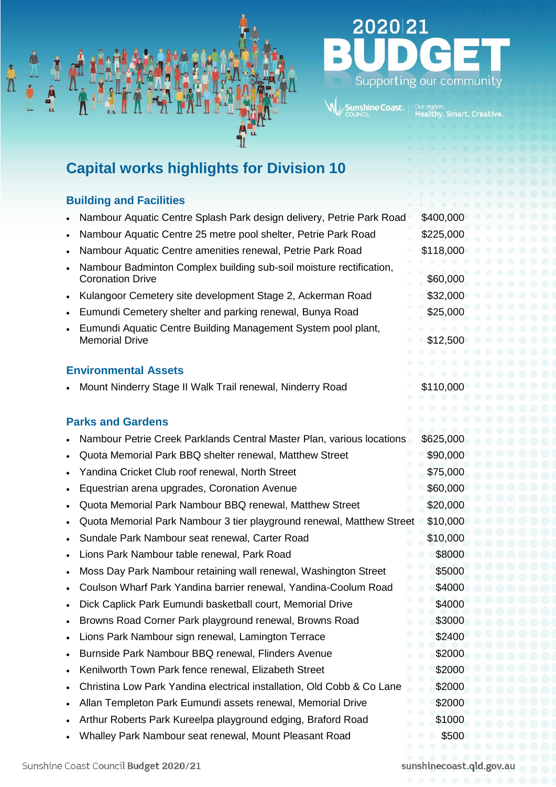

# 2020 21 Supporting our community

## **Capital works highlights for Division 10**

### **Building and Facilities**

- Nambour Aquatic Centre Splash Park design delivery, Petrie Park Road \$400,000
- Nambour Aquatic Centre 25 metre pool shelter, Petrie Park Road \$225,000
- Nambour Aquatic Centre amenities renewal, Petrie Park Road \$118,000
- Nambour Badminton Complex building sub-soil moisture rectification, Coronation Drive \$60,000
- Kulangoor Cemetery site development Stage 2, Ackerman Road \$32,000
- Eumundi Cemetery shelter and parking renewal, Bunya Road \$25,000
- Eumundi Aquatic Centre Building Management System pool plant, Memorial Drive **\$12,500**

#### **Environmental Assets**

Mount Ninderry Stage II Walk Trail renewal, Ninderry Road \$110,000

### **Parks and Gardens**

- Nambour Petrie Creek Parklands Central Master Plan, various locations \$625,000
- Quota Memorial Park BBQ shelter renewal, Matthew Street \$90,000
- Yandina Cricket Club roof renewal, North Street **\$75,000** \$75,000
- Equestrian arena upgrades, Coronation Avenue  $\sim$  \$60,000
- Quota Memorial Park Nambour BBQ renewal, Matthew Street \$20,000
- Quota Memorial Park Nambour 3 tier playground renewal, Matthew Street \$10,000
- Sundale Park Nambour seat renewal, Carter Road \$10,000
- Lions Park Nambour table renewal, Park Road **\$8000** \$8000
- Moss Day Park Nambour retaining wall renewal, Washington Street \$5000
- Coulson Wharf Park Yandina barrier renewal, Yandina-Coolum Road \$4000
- Dick Caplick Park Eumundi basketball court, Memorial Drive \$4000
- Browns Road Corner Park playground renewal, Browns Road \$3000
- Lions Park Nambour sign renewal, Lamington Terrace \$2400
- Burnside Park Nambour BBQ renewal, Flinders Avenue **\$2000** \$2000
- Kenilworth Town Park fence renewal, Elizabeth Street \$2000
- Christina Low Park Yandina electrical installation, Old Cobb & Co Lane \$2000
- Allan Templeton Park Eumundi assets renewal, Memorial Drive \$2000
- Arthur Roberts Park Kureelpa playground edging, Braford Road \$1000
- Whalley Park Nambour seat renewal, Mount Pleasant Road **\$500** \$500